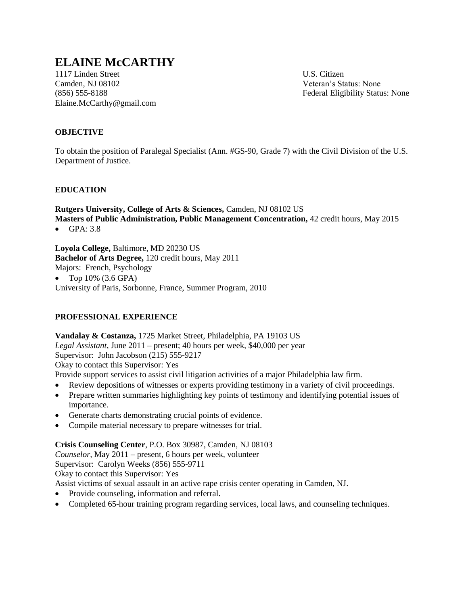# **ELAINE McCARTHY**

1117 Linden Street U.S. Citizen Camden, NJ 08102 Veteran's Status: None Elaine.McCarthy@gmail.com

(856) 555-8188 Federal Eligibility Status: None

# **OBJECTIVE**

To obtain the position of Paralegal Specialist (Ann. #GS-90, Grade 7) with the Civil Division of the U.S. Department of Justice.

# **EDUCATION**

**Rutgers University, College of Arts & Sciences,** Camden, NJ 08102 US **Masters of Public Administration, Public Management Concentration,** 42 credit hours, May 2015

GPA: 3.8

**Loyola College,** Baltimore, MD 20230 US **Bachelor of Arts Degree,** 120 credit hours, May 2011 Majors: French, Psychology • Top  $10\%$  (3.6 GPA) University of Paris, Sorbonne, France, Summer Program, 2010

# **PROFESSIONAL EXPERIENCE**

**Vandalay & Costanza,** 1725 Market Street, Philadelphia, PA 19103 US *Legal Assistant,* June 2011 – present; 40 hours per week, \$40,000 per year Supervisor: John Jacobson (215) 555-9217 Okay to contact this Supervisor: Yes Provide support services to assist civil litigation activities of a major Philadelphia law firm.

- Review depositions of witnesses or experts providing testimony in a variety of civil proceedings.
- Prepare written summaries highlighting key points of testimony and identifying potential issues of importance.
- Generate charts demonstrating crucial points of evidence.
- Compile material necessary to prepare witnesses for trial.

# **Crisis Counseling Center**, P.O. Box 30987, Camden, NJ 08103

*Counselor,* May 2011 – present, 6 hours per week, volunteer

Supervisor: Carolyn Weeks (856) 555-9711

Okay to contact this Supervisor: Yes

Assist victims of sexual assault in an active rape crisis center operating in Camden, NJ.

- Provide counseling, information and referral.
- Completed 65-hour training program regarding services, local laws, and counseling techniques.